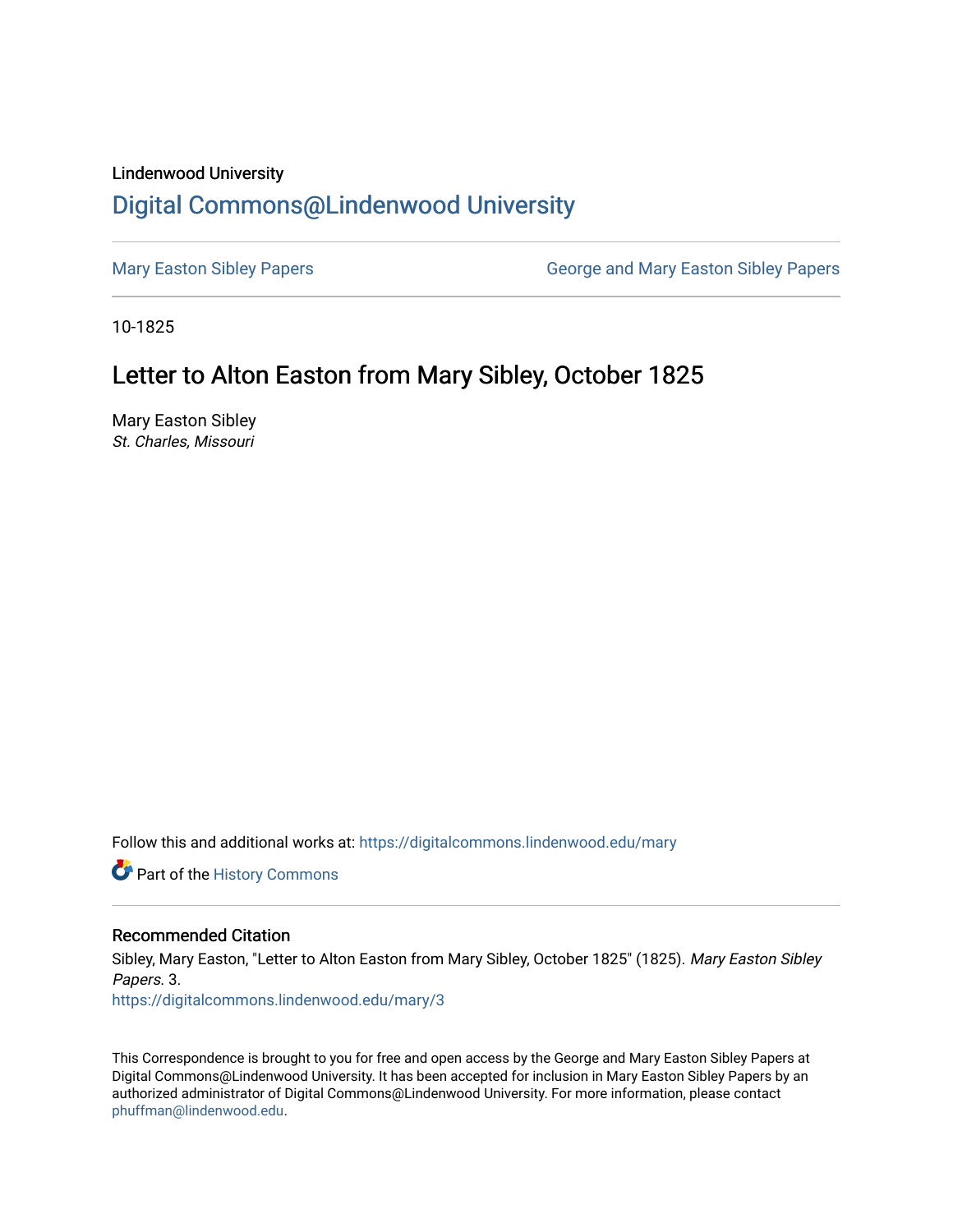### Lindenwood University

# [Digital Commons@Lindenwood University](https://digitalcommons.lindenwood.edu/)

[Mary Easton Sibley Papers](https://digitalcommons.lindenwood.edu/mary) **George and Mary Easton Sibley Papers** George and Mary Easton Sibley Papers

10-1825

# Letter to Alton Easton from Mary Sibley, October 1825

Mary Easton Sibley St. Charles, Missouri

Follow this and additional works at: [https://digitalcommons.lindenwood.edu/mary](https://digitalcommons.lindenwood.edu/mary?utm_source=digitalcommons.lindenwood.edu%2Fmary%2F3&utm_medium=PDF&utm_campaign=PDFCoverPages) 

Part of the [History Commons](http://network.bepress.com/hgg/discipline/489?utm_source=digitalcommons.lindenwood.edu%2Fmary%2F3&utm_medium=PDF&utm_campaign=PDFCoverPages) 

#### Recommended Citation

Sibley, Mary Easton, "Letter to Alton Easton from Mary Sibley, October 1825" (1825). Mary Easton Sibley Papers. 3. [https://digitalcommons.lindenwood.edu/mary/3](https://digitalcommons.lindenwood.edu/mary/3?utm_source=digitalcommons.lindenwood.edu%2Fmary%2F3&utm_medium=PDF&utm_campaign=PDFCoverPages) 

This Correspondence is brought to you for free and open access by the George and Mary Easton Sibley Papers at Digital Commons@Lindenwood University. It has been accepted for inclusion in Mary Easton Sibley Papers by an authorized administrator of Digital Commons@Lindenwood University. For more information, please contact [phuffman@lindenwood.edu](mailto:phuffman@lindenwood.edu).